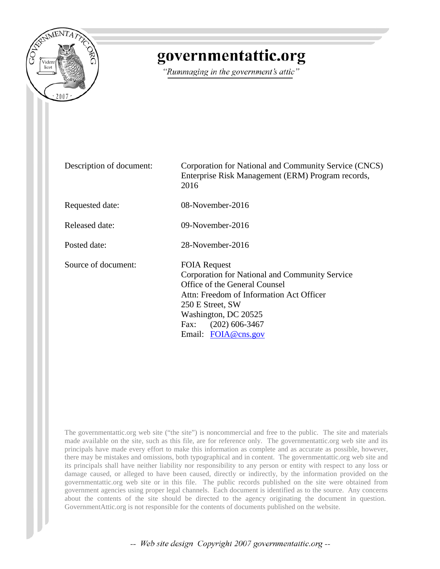

## governmentattic.org

"Rummaging in the government's attic"

Description of document: Corporation for National and Community Service (CNCS) Enterprise Risk Management (ERM) Program records, 2016 Requested date: 08-November-2016 Released date: 09-November-2016 Posted date: 28-November-2016 Source of document: FOIA Request Corporation for National and Community Service Office of the General Counsel Attn: Freedom of Information Act Officer 250 E Street, SW Washington, DC 20525 Fax: (202) 606-3467 Email: [FOIA@cns.gov](mailto:FOIA@cns.gov?subject=FOIA%20Request)

The governmentattic.org web site ("the site") is noncommercial and free to the public. The site and materials made available on the site, such as this file, are for reference only. The governmentattic.org web site and its principals have made every effort to make this information as complete and as accurate as possible, however, there may be mistakes and omissions, both typographical and in content. The governmentattic.org web site and its principals shall have neither liability nor responsibility to any person or entity with respect to any loss or damage caused, or alleged to have been caused, directly or indirectly, by the information provided on the governmentattic.org web site or in this file. The public records published on the site were obtained from government agencies using proper legal channels. Each document is identified as to the source. Any concerns about the contents of the site should be directed to the agency originating the document in question. GovernmentAttic.org is not responsible for the contents of documents published on the website.

-- Web site design Copyright 2007 governmentattic.org --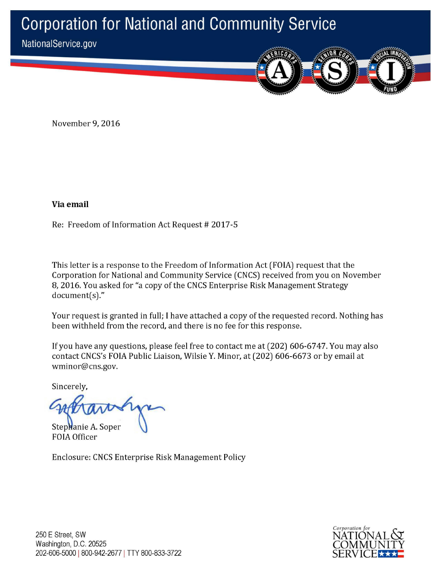# **Corporation for National and Community Service**

NationalService.gov

November 9, 2016

**Via email** 

Re: Freedom of Information Act Request # 2017-5

This letter is a response to the Freedom of Information Act (FOIA) request that the Corporation for National and Community Service (CNCS) received from you on November 8, 2016. You asked for "a copy of the CNCS Enterprise Risk Management Strategy document(s)."

Your request is granted in full; I have attached a copy of the requested record. Nothing has been withheld from the record, and there is no fee for this response.

If you have any questions, please feel free to contact me at (202) 606-6747. You may also contact CNCS's FOIA Public Liaison, Wilsie Y. Minor, at (202) 606-6673 or by email at wminor@cns.gov.

Sincerely,

Stephanie A. Soper FOIA Officer

Enclosure: CNCS Enterprise Risk Management Policy

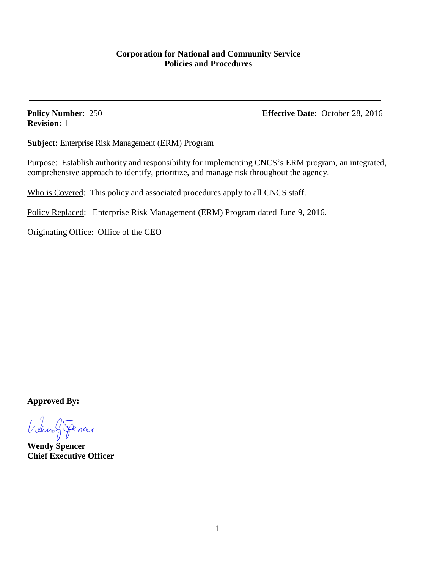**Revision:** 1

**Policy Number:** 250 **Effective Date:** October 28, 2016

**Subject:** Enterprise Risk Management (ERM) Program

Purpose: Establish authority and responsibility for implementing CNCS's ERM program, an integrated, comprehensive approach to identify, prioritize, and manage risk throughout the agency.

Who is Covered: This policy and associated procedures apply to all CNCS staff.

Policy Replaced: Enterprise Risk Management (ERM) Program dated June 9, 2016.

Originating Office: Office of the CEO

**Approved By:**

WengSperies

**Wendy Spencer Chief Executive Officer**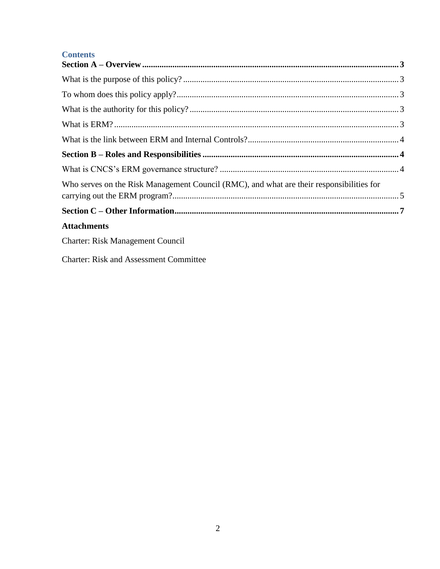### **Contents**

| Who serves on the Risk Management Council (RMC), and what are their responsibilities for |  |
|------------------------------------------------------------------------------------------|--|
|                                                                                          |  |
| <b>Attachments</b>                                                                       |  |
| <b>Charter: Risk Management Council</b>                                                  |  |

**Charter: Risk and Assessment Committee**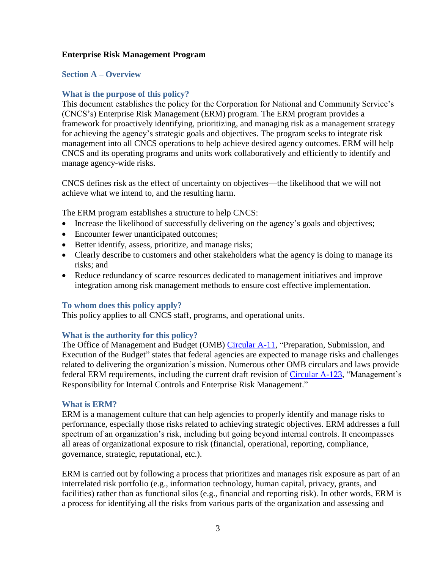### **Enterprise Risk Management Program**

### <span id="page-4-0"></span>**Section A – Overview**

### <span id="page-4-1"></span>**What is the purpose of this policy?**

This document establishes the policy for the Corporation for National and Community Service's (CNCS's) Enterprise Risk Management (ERM) program. The ERM program provides a framework for proactively identifying, prioritizing, and managing risk as a management strategy for achieving the agency's strategic goals and objectives. The program seeks to integrate risk management into all CNCS operations to help achieve desired agency outcomes. ERM will help CNCS and its operating programs and units work collaboratively and efficiently to identify and manage agency-wide risks.

CNCS defines risk as the effect of uncertainty on objectives—the likelihood that we will not achieve what we intend to, and the resulting harm.

The ERM program establishes a structure to help CNCS:

- Increase the likelihood of successfully delivering on the agency's goals and objectives;
- Encounter fewer unanticipated outcomes;
- Better identify, assess, prioritize, and manage risks;
- Clearly describe to customers and other stakeholders what the agency is doing to manage its risks; and
- Reduce redundancy of scarce resources dedicated to management initiatives and improve integration among risk management methods to ensure cost effective implementation.

### <span id="page-4-2"></span>**To whom does this policy apply?**

This policy applies to all CNCS staff, programs, and operational units.

### <span id="page-4-3"></span>**What is the authority for this policy?**

The Office of Management and Budget (OMB) [Circular](https://www.whitehouse.gov/omb/circulars_a11_current_year_a11_toc) A-11, "Preparation, Submission, and Execution of the Budget" states that federal agencies are expected to manage risks and challenges related to delivering the organization's mission. Numerous other OMB circulars and laws provide federal ERM requirements, including the current draft revision of [Circular A-123,](https://www.whitehouse.gov/omb/circulars_a123_rev) "Management's Responsibility for Internal Controls and Enterprise Risk Management."

### <span id="page-4-4"></span>**What is ERM?**

ERM is a management culture that can help agencies to properly identify and manage risks to performance, especially those risks related to achieving strategic objectives. ERM addresses a full spectrum of an organization's risk, including but going beyond internal controls. It encompasses all areas of organizational exposure to risk (financial, operational, reporting, compliance, governance, strategic, reputational, etc.).

ERM is carried out by following a process that prioritizes and manages risk exposure as part of an interrelated risk portfolio (e.g., information technology, human capital, privacy, grants, and facilities) rather than as functional silos (e.g., financial and reporting risk). In other words, ERM is a process for identifying all the risks from various parts of the organization and assessing and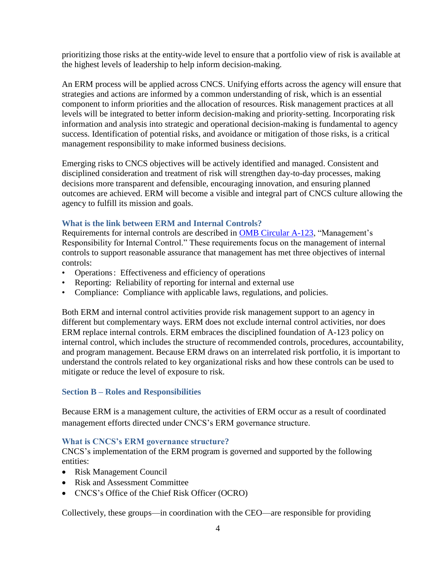prioritizing those risks at the entity-wide level to ensure that a portfolio view of risk is available at the highest levels of leadership to help inform decision-making.

An ERM process will be applied across CNCS. Unifying efforts across the agency will ensure that strategies and actions are informed by a common understanding of risk, which is an essential component to inform priorities and the allocation of resources. Risk management practices at all levels will be integrated to better inform decision-making and priority-setting. Incorporating risk information and analysis into strategic and operational decision-making is fundamental to agency success. Identification of potential risks, and avoidance or mitigation of those risks, is a critical management responsibility to make informed business decisions.

Emerging risks to CNCS objectives will be actively identified and managed. Consistent and disciplined consideration and treatment of risk will strengthen day-to-day processes, making decisions more transparent and defensible, encouraging innovation, and ensuring planned outcomes are achieved. ERM will become a visible and integral part of CNCS culture allowing the agency to fulfill its mission and goals.

### <span id="page-5-0"></span>**What is the link between ERM and Internal Controls?**

Requirements for internal controls are described in [OMB Circular A-123,](https://www.whitehouse.gov/omb/circulars_a123_rev) "Management's Responsibility for Internal Control." These requirements focus on the management of internal controls to support reasonable assurance that management has met three objectives of internal controls:

- Operations: Effectiveness and efficiency of operations
- Reporting: Reliability of reporting for internal and external use
- Compliance: Compliance with applicable laws, regulations, and policies.

Both ERM and internal control activities provide risk management support to an agency in different but complementary ways. ERM does not exclude internal control activities, nor does ERM replace internal controls. ERM embraces the disciplined foundation of A-123 policy on internal control, which includes the structure of recommended controls, procedures, accountability, and program management. Because ERM draws on an interrelated risk portfolio, it is important to understand the controls related to key organizational risks and how these controls can be used to mitigate or reduce the level of exposure to risk.

### <span id="page-5-1"></span>**Section B – Roles and Responsibilities**

Because ERM is a management culture, the activities of ERM occur as a result of coordinated management efforts directed under CNCS's ERM governance structure.

### <span id="page-5-2"></span>**What is CNCS's ERM governance structure?**

CNCS's implementation of the ERM program is governed and supported by the following entities:

- Risk Management Council
- Risk and Assessment Committee
- CNCS's Office of the Chief Risk Officer (OCRO)

Collectively, these groups—in coordination with the CEO—are responsible for providing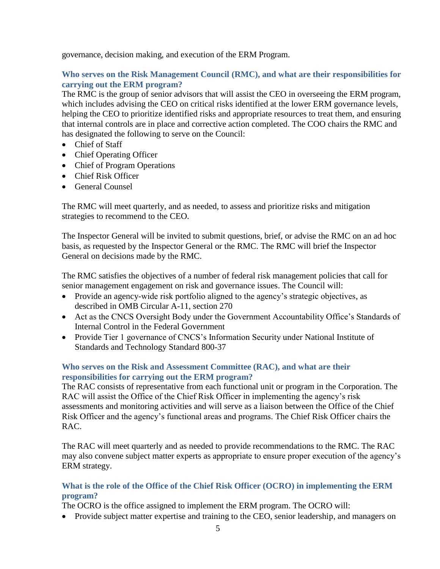governance, decision making, and execution of the ERM Program.

### <span id="page-6-0"></span>**Who serves on the Risk Management Council (RMC), and what are their responsibilities for carrying out the ERM program?**

The RMC is the group of senior advisors that will assist the CEO in overseeing the ERM program, which includes advising the CEO on critical risks identified at the lower ERM governance levels, helping the CEO to prioritize identified risks and appropriate resources to treat them, and ensuring that internal controls are in place and corrective action completed. The COO chairs the RMC and has designated the following to serve on the Council:

- Chief of Staff
- Chief Operating Officer
- Chief of Program Operations
- Chief Risk Officer
- General Counsel

The RMC will meet quarterly, and as needed, to assess and prioritize risks and mitigation strategies to recommend to the CEO.

The Inspector General will be invited to submit questions, brief, or advise the RMC on an ad hoc basis, as requested by the Inspector General or the RMC. The RMC will brief the Inspector General on decisions made by the RMC.

The RMC satisfies the objectives of a number of federal risk management policies that call for senior management engagement on risk and governance issues. The Council will:

- Provide an agency-wide risk portfolio aligned to the agency's strategic objectives, as described in OMB Circular A-11, section 270
- Act as the CNCS Oversight Body under the Government Accountability Office's Standards of Internal Control in the Federal Government
- Provide Tier 1 governance of CNCS's Information Security under National Institute of Standards and Technology Standard 800-37

### **Who serves on the Risk and Assessment Committee (RAC), and what are their responsibilities for carrying out the ERM program?**

The RAC consists of representative from each functional unit or program in the Corporation. The RAC will assist the Office of the Chief Risk Officer in implementing the agency's risk assessments and monitoring activities and will serve as a liaison between the Office of the Chief Risk Officer and the agency's functional areas and programs. The Chief Risk Officer chairs the RAC.

The RAC will meet quarterly and as needed to provide recommendations to the RMC. The RAC may also convene subject matter experts as appropriate to ensure proper execution of the agency's ERM strategy.

### **What is the role of the Office of the Chief Risk Officer (OCRO) in implementing the ERM program?**

The OCRO is the office assigned to implement the ERM program. The OCRO will:

• Provide subject matter expertise and training to the CEO, senior leadership, and managers on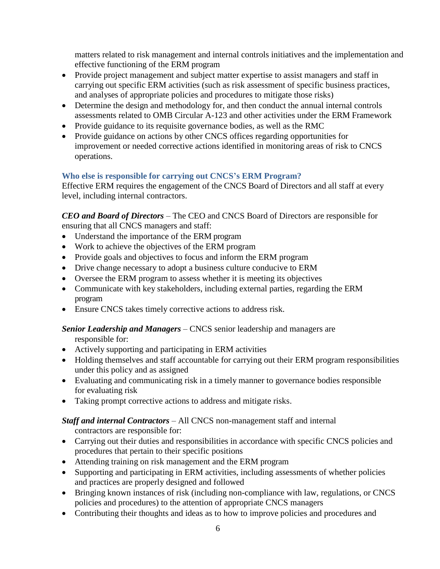matters related to risk management and internal controls initiatives and the implementation and effective functioning of the ERM program

- Provide project management and subject matter expertise to assist managers and staff in carrying out specific ERM activities (such as risk assessment of specific business practices, and analyses of appropriate policies and procedures to mitigate those risks)
- Determine the design and methodology for, and then conduct the annual internal controls assessments related to OMB Circular A-123 and other activities under the ERM Framework
- Provide guidance to its requisite governance bodies, as well as the RMC
- Provide guidance on actions by other CNCS offices regarding opportunities for improvement or needed corrective actions identified in monitoring areas of risk to CNCS operations.

### **Who else is responsible for carrying out CNCS's ERM Program?**

Effective ERM requires the engagement of the CNCS Board of Directors and all staff at every level, including internal contractors.

*CEO and Board of Directors* – The CEO and CNCS Board of Directors are responsible for ensuring that all CNCS managers and staff:

- Understand the importance of the ERM program
- Work to achieve the objectives of the ERM program
- Provide goals and objectives to focus and inform the ERM program
- Drive change necessary to adopt a business culture conducive to ERM
- Oversee the ERM program to assess whether it is meeting its objectives
- Communicate with key stakeholders, including external parties, regarding the ERM program
- Ensure CNCS takes timely corrective actions to address risk.

### *Senior Leadership and Managers* – CNCS senior leadership and managers are responsible for:

- Actively supporting and participating in ERM activities
- Holding themselves and staff accountable for carrying out their ERM program responsibilities under this policy and as assigned
- Evaluating and communicating risk in a timely manner to governance bodies responsible for evaluating risk
- Taking prompt corrective actions to address and mitigate risks.

### *Staff and internal Contractors* – All CNCS non-management staff and internal

- contractors are responsible for:
- Carrying out their duties and responsibilities in accordance with specific CNCS policies and procedures that pertain to their specific positions
- Attending training on risk management and the ERM program
- Supporting and participating in ERM activities, including assessments of whether policies and practices are properly designed and followed
- Bringing known instances of risk (including non-compliance with law, regulations, or CNCS policies and procedures) to the attention of appropriate CNCS managers
- Contributing their thoughts and ideas as to how to improve policies and procedures and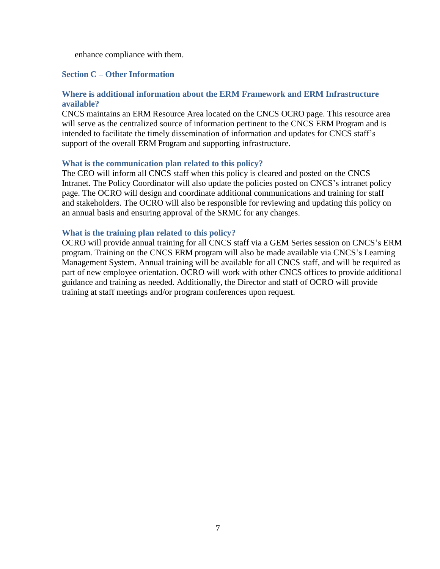enhance compliance with them.

### <span id="page-8-0"></span>**Section C – Other Information**

### **Where is additional information about the ERM Framework and ERM Infrastructure available?**

CNCS maintains an ERM Resource Area located on the CNCS OCRO page. This resource area will serve as the centralized source of information pertinent to the CNCS ERM Program and is intended to facilitate the timely dissemination of information and updates for CNCS staff's support of the overall ERM Program and supporting infrastructure.

### **What is the communication plan related to this policy?**

The CEO will inform all CNCS staff when this policy is cleared and posted on the CNCS Intranet. The Policy Coordinator will also update the policies posted on CNCS's intranet policy page. The OCRO will design and coordinate additional communications and training for staff and stakeholders. The OCRO will also be responsible for reviewing and updating this policy on an annual basis and ensuring approval of the SRMC for any changes.

### **What is the training plan related to this policy?**

OCRO will provide annual training for all CNCS staff via a GEM Series session on CNCS's ERM program. Training on the CNCS ERM program will also be made available via CNCS's Learning Management System. Annual training will be available for all CNCS staff, and will be required as part of new employee orientation. OCRO will work with other CNCS offices to provide additional guidance and training as needed. Additionally, the Director and staff of OCRO will provide training at staff meetings and/or program conferences upon request.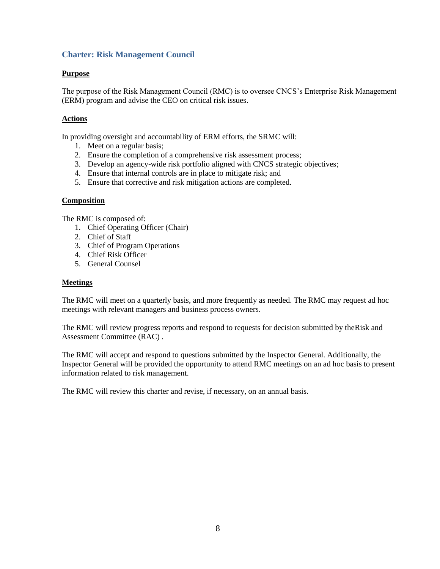### **Charter: Risk Management Council**

### **Purpose**

The purpose of the Risk Management Council (RMC) is to oversee CNCS's Enterprise Risk Management (ERM) program and advise the CEO on critical risk issues.

### **Actions**

In providing oversight and accountability of ERM efforts, the SRMC will:

- 1. Meet on a regular basis;
- 2. Ensure the completion of a comprehensive risk assessment process;
- 3. Develop an agency-wide risk portfolio aligned with CNCS strategic objectives;
- 4. Ensure that internal controls are in place to mitigate risk; and
- 5. Ensure that corrective and risk mitigation actions are completed.

### **Composition**

The RMC is composed of:

- 1. Chief Operating Officer (Chair)
- 2. Chief of Staff
- 3. Chief of Program Operations
- 4. Chief Risk Officer
- 5. General Counsel

### **Meetings**

The RMC will meet on a quarterly basis, and more frequently as needed. The RMC may request ad hoc meetings with relevant managers and business process owners.

The RMC will review progress reports and respond to requests for decision submitted by theRisk and Assessment Committee (RAC) .

The RMC will accept and respond to questions submitted by the Inspector General. Additionally, the Inspector General will be provided the opportunity to attend RMC meetings on an ad hoc basis to present information related to risk management.

The RMC will review this charter and revise, if necessary, on an annual basis.